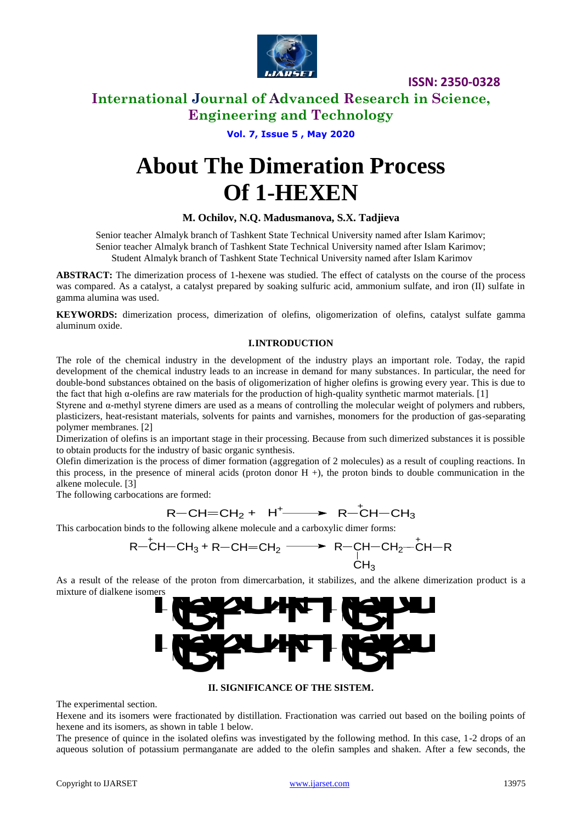

# **International Journal of Advanced Research in Science, Engineering and Technology**

**Vol. 7, Issue 5 , May 2020**

# **About The Dimeration Process Of 1-HEXEN**

### **M. Ochilov, N.Q. Madusmanova, S.X. Tadjieva**

Senior teacher Almalyk branch of Tashkent State Technical University named after Islam Karimov; Senior teacher Almalyk branch of Tashkent State Technical University named after Islam Karimov; Student Almalyk branch of Tashkent State Technical University named after Islam Karimov

**ABSTRACT:** The dimerization process of 1-hexene was studied. The effect of catalysts on the course of the process was compared. As a catalyst, a catalyst prepared by soaking sulfuric acid, ammonium sulfate, and iron (II) sulfate in gamma alumina was used.

**KEYWORDS:** dimerization process, dimerization of olefins, oligomerization of olefins, catalyst sulfate gamma aluminum oxide.

#### **I.INTRODUCTION**

The role of the chemical industry in the development of the industry plays an important role. Today, the rapid development of the chemical industry leads to an increase in demand for many substances. In particular, the need for double-bond substances obtained on the basis of oligomerization of higher olefins is growing every year. This is due to the fact that high  $\alpha$ -olefins are raw materials for the production of high-quality synthetic marmot materials. [1]

Styrene and α-methyl styrene dimers are used as a means of controlling the molecular weight of polymers and rubbers, plasticizers, heat-resistant materials, solvents for paints and varnishes, monomers for the production of gas-separating polymer membranes. [2]

Dimerization of olefins is an important stage in their processing. Because from such dimerized substances it is possible to obtain products for the industry of basic organic synthesis.

Olefin dimerization is the process of dimer formation (aggregation of 2 molecules) as a result of coupling reactions. In this process, in the presence of mineral acids (proton donor  $H +$ ), the proton binds to double communication in the alkene molecule. [3]

The following carbocations are formed:

 $R$ -CH=CH<sub>2</sub> +  $H^+$   $\longrightarrow$   $R$ <sup>+</sup>CH-CH<sub>3</sub>

This carbocation binds to the following alkene molecule and a carboxylic dimer forms:

$$
\begin{array}{cccc}\nR-\text{CH}-\text{CH}_3+R-\text{CH}=\text{CH}_2 &\longrightarrow & R-\text{CH}-\text{CH}_2-\text{CH}-R \\
& & \downarrow & & \text{CH}_3\n\end{array}
$$

As a result of the release of the proton from dimercarbation, it stabilizes, and the alkene dimerization product is a mixture of dialkene isomers



**II. SIGNIFICANCE OF THE SISTEM.**

The experimental section.

Hexene and its isomers were fractionated by distillation. Fractionation was carried out based on the boiling points of hexene and its isomers, as shown in table 1 below.

The presence of quince in the isolated olefins was investigated by the following method. In this case, 1-2 drops of an aqueous solution of potassium permanganate are added to the olefin samples and shaken. After a few seconds, the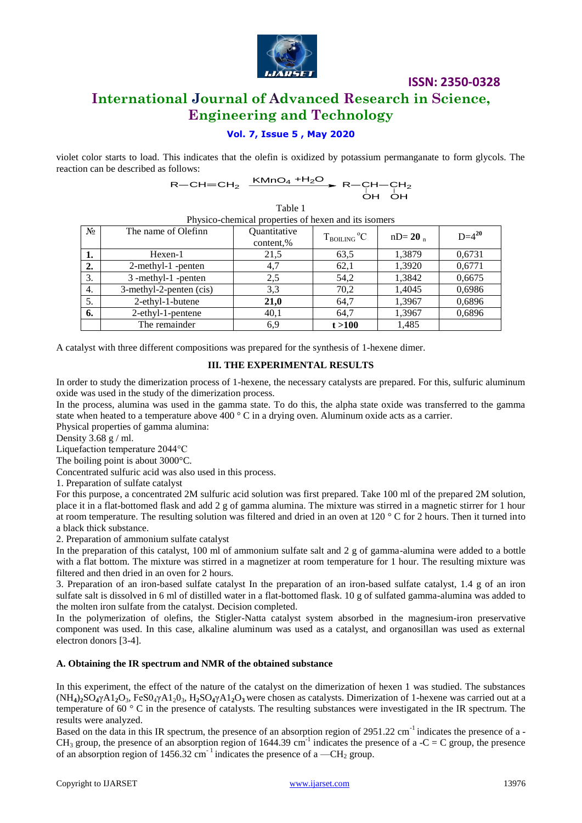

# **International Journal of Advanced Research in Science, Engineering and Technology**

# **Vol. 7, Issue 5 , May 2020**

violet color starts to load. This indicates that the olefin is oxidized by potassium permanganate to form glycols. The reaction can be described as follows:

$$
R-CH=CH_2 \xrightarrow{KMnO_4+H_2O} R-CH-CH_2
$$
  
OH OH

Table 1

| $N_2$            | The name of Olefinn     | Quantitative<br>content,% | $T_{\rm BOLING}$ <sup>o</sup> C | $nD = 20$ $n$ | $D=4^{20}$ |
|------------------|-------------------------|---------------------------|---------------------------------|---------------|------------|
| ı.               | Hexen-1                 | 21,5                      | 63.5                            | 1.3879        | 0,6731     |
| $\overline{2}$ . | 2-methyl-1 -penten      | 4,7                       | 62,1                            | 1,3920        | 0,6771     |
| 3.               | 3-methyl-1-penten       | 2,5                       | 54,2                            | 1,3842        | 0,6675     |
| 4.               | 3-methyl-2-penten (cis) | 3.3                       | 70,2                            | 1,4045        | 0,6986     |
| 5.               | 2-ethyl-1-butene        | 21,0                      | 64,7                            | 1,3967        | 0,6896     |
| 6.               | 2-ethyl-1-pentene       | 40,1                      | 64,7                            | 1,3967        | 0,6896     |
|                  | The remainder           | 6,9                       | t > 100                         | 1,485         |            |

A catalyst with three different compositions was prepared for the synthesis of 1-hexene dimer.

#### **III. THE EXPERIMENTAL RESULTS**

In order to study the dimerization process of 1-hexene, the necessary catalysts are prepared. For this, sulfuric aluminum oxide was used in the study of the dimerization process.

In the process, alumina was used in the gamma state. To do this, the alpha state oxide was transferred to the gamma state when heated to a temperature above 400  $^{\circ}$  C in a drying oven. Aluminum oxide acts as a carrier.

Physical properties of gamma alumina:

Density  $3.68 \text{ g}$  / ml.

Liquefaction temperature 2044°С

The boiling point is about 3000°C.

Concentrated sulfuric acid was also used in this process.

1. Preparation of sulfate catalyst

For this purpose, a concentrated 2M sulfuric acid solution was first prepared. Take 100 ml of the prepared 2M solution, place it in a flat-bottomed flask and add 2 g of gamma alumina. The mixture was stirred in a magnetic stirrer for 1 hour at room temperature. The resulting solution was filtered and dried in an oven at 120 $\degree$  C for 2 hours. Then it turned into a black thick substance.

2. Preparation of ammonium sulfate catalyst

In the preparation of this catalyst, 100 ml of ammonium sulfate salt and 2 g of gamma-alumina were added to a bottle with a flat bottom. The mixture was stirred in a magnetizer at room temperature for 1 hour. The resulting mixture was filtered and then dried in an oven for 2 hours.

3. Preparation of an iron-based sulfate catalyst In the preparation of an iron-based sulfate catalyst, 1.4 g of an iron sulfate salt is dissolved in 6 ml of distilled water in a flat-bottomed flask. 10 g of sulfated gamma-alumina was added to the molten iron sulfate from the catalyst. Decision completed.

In the polymerization of olefins, the Stigler-Natta catalyst system absorbed in the magnesium-iron preservative component was used. In this case, alkaline aluminum was used as a catalyst, and organosillan was used as external electron donors [3-4].

#### **A. Obtaining the IR spectrum and NMR of the obtained substance**

In this experiment, the effect of the nature of the catalyst on the dimerization of hexen 1 was studied. The substances (NH**4**)**2**SO**4**γA1**2**O3, FеS04γA1203, H**2**SO**4**γA1**2**O**3** were chosen as catalysts. Dimerization of 1-hexene was carried out at a temperature of 60 ° C in the presence of catalysts. The resulting substances were investigated in the IR spectrum. The results were analyzed.

Based on the data in this IR spectrum, the presence of an absorption region of 2951.22 cm<sup>-1</sup> indicates the presence of a -CH<sub>3</sub> group, the presence of an absorption region of 1644.39 cm<sup>-1</sup> indicates the presence of a -C = C group, the presence of an absorption region of 1456.32 cm<sup>-1</sup> indicates the presence of a —CH<sub>2</sub> group.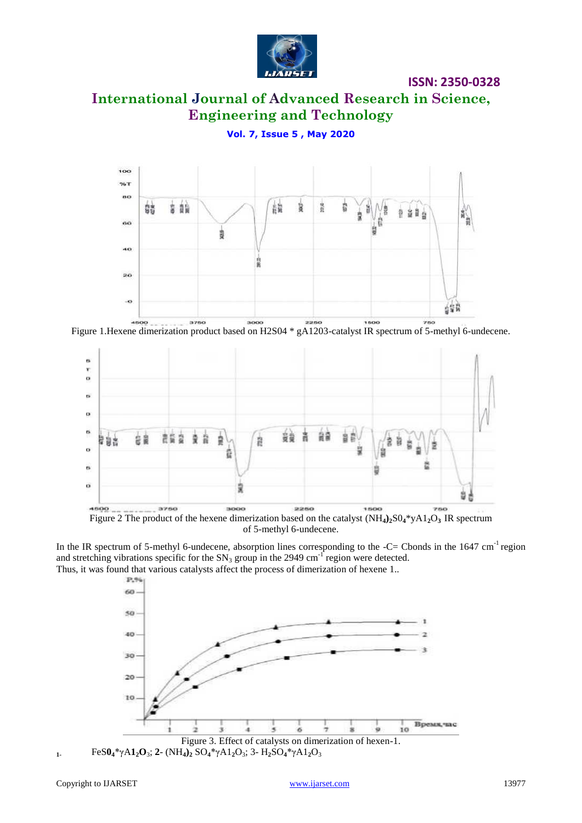

# **International Journal of Advanced Research in Science, Engineering and Technology**

**ISSN: 2350-0328**

**Vol. 7, Issue 5 , May 2020**



Figure 1.Hexene dimerization product based on H2S04 \* gA1203-catalyst IR spectrum of 5-methyl 6-undecene.



Figure 2 The product of the hexene dimerization based on the catalyst (NH**4)2**S0**4**\*yA1**2**O**3** IR spectrum of 5-methyl 6-undecene.

In the IR spectrum of 5-methyl 6-undecene, absorption lines corresponding to the  $-C=$  Cbonds in the 1647 cm<sup>-1</sup> region and stretching vibrations specific for the  $SN_3$  group in the 2949 cm<sup>-1</sup> region were detected. Thus, it was found that various catalysts affect the process of dimerization of hexene 1..



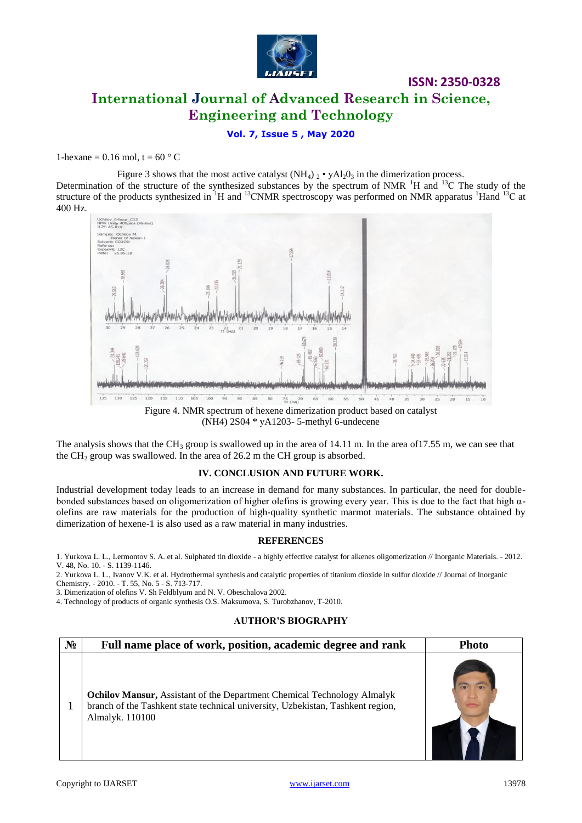

**International Journal of Advanced Research in Science, Engineering and Technology**

## **Vol. 7, Issue 5 , May 2020**

#### 1-hexane = 0.16 mol,  $t = 60^\circ$  C

Figure 3 shows that the most active catalyst  $(NH_4)$   $_2 \cdot yAl_2O_3$  in the dimerization process. Determination of the structure of the synthesized substances by the spectrum of NMR <sup>1</sup>H and <sup>13</sup>C The study of the structure of the products synthesized in <sup>1</sup>H and <sup>13</sup>CNMR spectroscopy was performed on NMR apparatus <sup>1</sup>Hand <sup>13</sup>C at 400 Hz.



(NH4) 2S04 \* yA1203- 5-methyl 6-undecene

The analysis shows that the CH<sub>3</sub> group is swallowed up in the area of 14.11 m. In the area of 17.55 m, we can see that the  $CH<sub>2</sub>$  group was swallowed. In the area of 26.2 m the CH group is absorbed.

#### **IV. CONCLUSION AND FUTURE WORK.**

Industrial development today leads to an increase in demand for many substances. In particular, the need for doublebonded substances based on oligomerization of higher olefins is growing every year. This is due to the fact that high  $\alpha$ olefins are raw materials for the production of high-quality synthetic marmot materials. The substance obtained by dimerization of hexene-1 is also used as a raw material in many industries.

#### **REFERENCES**

1. Yurkova L. L., Lermontov S. A. et al. Sulphated tin dioxide - a highly effective catalyst for alkenes oligomerization // Inorganic Materials. - 2012. V. 48, No. 10. - S. 1139-1146.

2. Yurkova L. L., Ivanov V.K. et al. Hydrothermal synthesis and catalytic properties of titanium dioxide in sulfur dioxide // Journal of Inorganic Chemistry. - 2010. - T. 55, No. 5 - S. 713-717.

3. Dimerization of olefins V. Sh Feldblyum and N. V. Obeschalova 2002.

4. Technology of products of organic synthesis O.S. Maksumova, S. Turobzhanov, T-2010.

# **AUTHOR'S BIOGRAPHY**